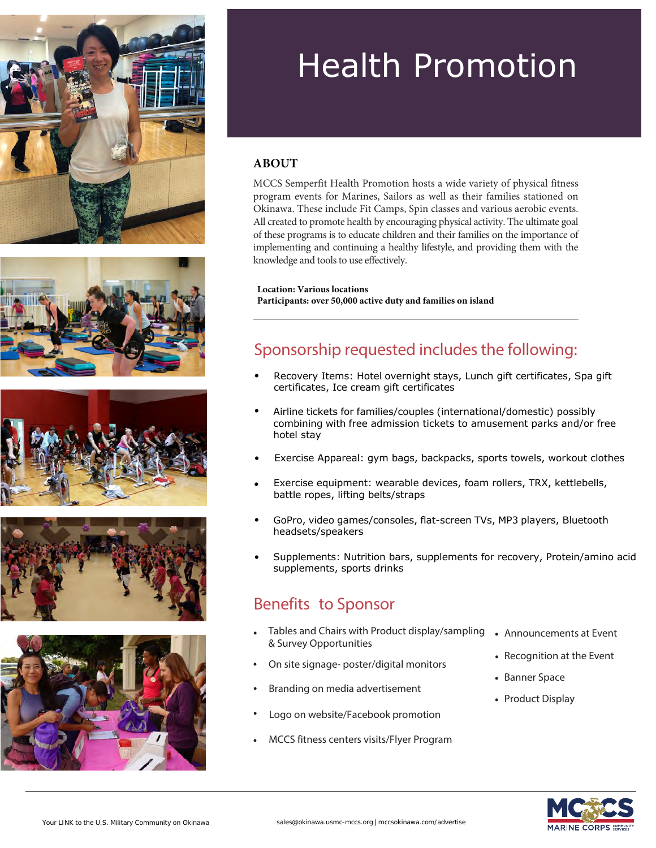









# Health Promotion

#### **ABOUT**

MCCS Semperfit Health Promotion hosts a wide variety of physical fitness program events for Marines, Sailors as well as their families stationed on Okinawa. These include Fit Camps, Spin classes and various aerobic events. All created to promote health by encouraging physical activity. The ultimate goal of these programs is to educate children and their families on the importance of implementing and continuing a healthy lifestyle, and providing them with the knowledge and tools to use effectively.

**Location: Various locations Participants: over 50,000 active duty and families on island**

#### Sponsorship requested includes the following:

- Recovery Items: Hotel overnight stays, Lunch gift certificates, Spa gift certificates, Ice cream gift certificates
- Airline tickets for families/couples (international/domestic) possibly combining with free admission tickets to amusement parks and/or free hotel stay
- Exercise Appareal: gym bags, backpacks, sports towels, workout clothes
- Exercise equipment: wearable devices, foam rollers, TRX, kettlebells, battle ropes, lifting belts/straps
- GoPro, video games/consoles, flat-screen TVs, MP3 players, Bluetooth headsets/speakers
- Supplements: Nutrition bars, supplements for recovery, Protein/amino acid supplements, sports drinks

#### Benefits to Sponsor

- Tables and Chairs with Product display/sampling Announcements at Event & Survey Opportunities
- On site signage- poster/digital monitors
- Branding on media advertisement
- Logo on website/Facebook promotion
- MCCS fitness centers visits/Flyer Program
- 
- Recognition at the Event
- Banner Space
- Product Display

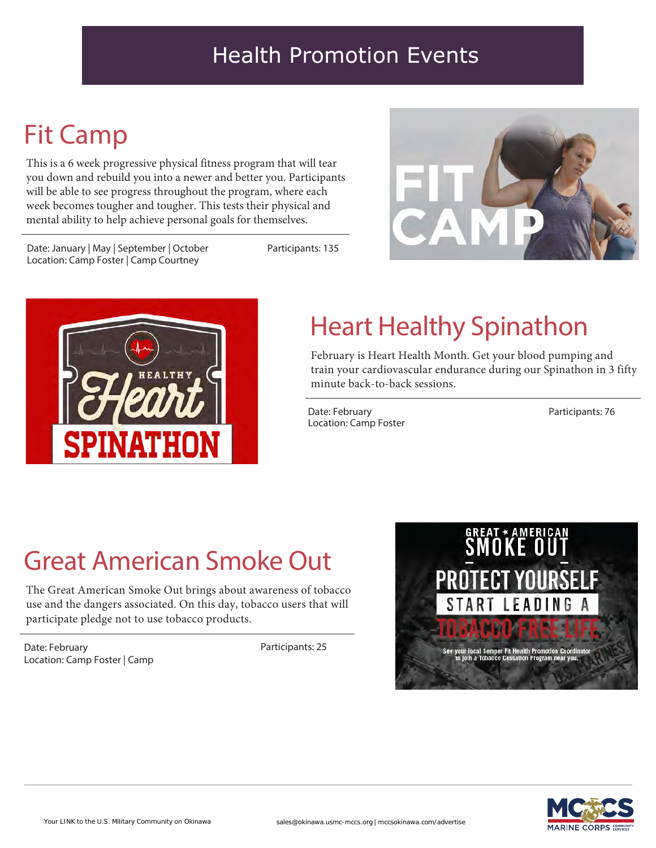### Health Promotion Events

### Fit Camp

This is a 6 week progressive physical fitness program that will tear you down and rebuild you into a newer and better you. Participants will be able to see progress throughout the program, where each week becomes tougher and tougher. This tests their physical and mental ability to help achieve personal goals for themselves.

Date: January | May | September | October Location: Camp Foster | Camp Courtney

Participants: 135





## Heart Healthy Spinathon

February is Heart Health Month. Get your blood pumping and train your cardiovascular endurance during our Spinathon in 3 fifty minute back-to-back sessions.

Date: February Location: Camp Foster Participants: 76

## Great American Smoke Out

The Great American Smoke Out brings about awareness of tobacco use and the dangers associated. On this day, tobacco users that will participate pledge not to use tobacco products.

Date: February Location: Camp Foster | Camp Participants: 25



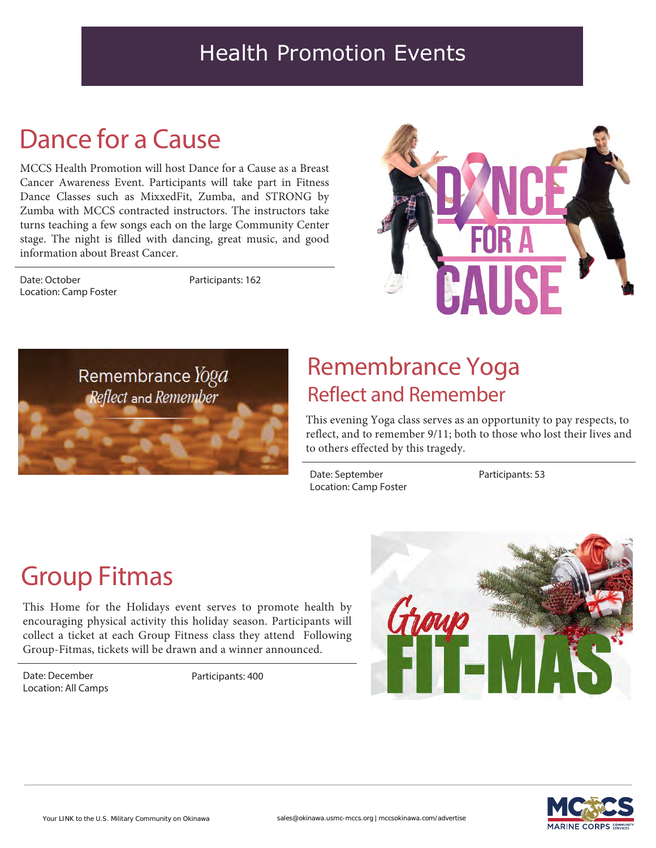#### Health Promotion Events

### Dance for a Cause

MCCS Health Promotion will host Dance for a Cause as a Breast Cancer Awareness Event. Participants will take part in Fitness Dance Classes such as MixxedFit, Zumba, and STRONG by Zumba with MCCS contracted instructors. The instructors take turns teaching a few songs each on the large Community Center stage. The night is filled with dancing, great music, and good information about Breast Cancer.

Date: October Location: Camp Foster Participants: 162





### Remembrance Yoga Reflect and Remember

This evening Yoga class serves as an opportunity to pay respects, to reflect, and to remember 9/11; both to those who lost their lives and to others effected by this tragedy.

Date: September Location: Camp Foster Participants: 53

### Group Fitmas

This Home for the Holidays event serves to promote health by encouraging physical activity this holiday season. Participants will collect a ticket at each Group Fitness class they attend Following Group-Fitmas, tickets will be drawn and a winner announced.

Date: December Location: All Camps

Participants: 400